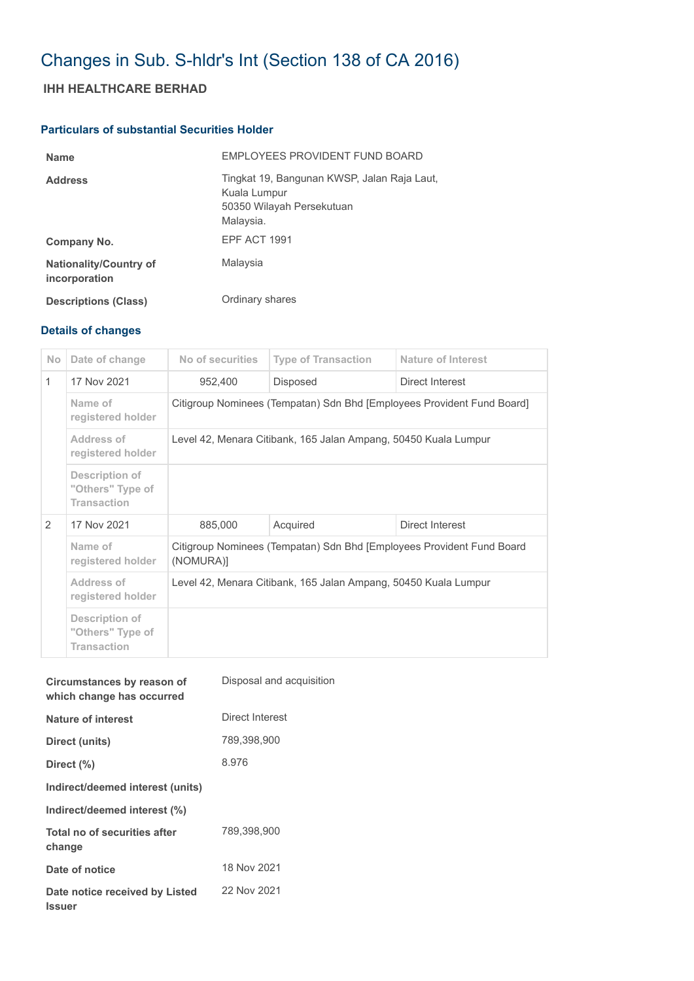# Changes in Sub. S-hldr's Int (Section 138 of CA 2016)

## **IHH HEALTHCARE BERHAD**

## **Particulars of substantial Securities Holder**

| <b>Name</b>                                    | EMPLOYEES PROVIDENT FUND BOARD                                                                        |
|------------------------------------------------|-------------------------------------------------------------------------------------------------------|
| <b>Address</b>                                 | Tingkat 19, Bangunan KWSP, Jalan Raja Laut,<br>Kuala Lumpur<br>50350 Wilayah Persekutuan<br>Malaysia. |
| Company No.                                    | EPF ACT 1991                                                                                          |
| <b>Nationality/Country of</b><br>incorporation | Malaysia                                                                                              |
| <b>Descriptions (Class)</b>                    | Ordinary shares                                                                                       |

## **Details of changes**

| No. | Date of change                                           | No of securities                                                                   | <b>Type of Transaction</b> | Nature of Interest |  |
|-----|----------------------------------------------------------|------------------------------------------------------------------------------------|----------------------------|--------------------|--|
| 1   | 17 Nov 2021                                              | 952,400                                                                            | Disposed                   | Direct Interest    |  |
|     | Name of<br>registered holder                             | Citigroup Nominees (Tempatan) Sdn Bhd [Employees Provident Fund Board]             |                            |                    |  |
|     | Address of<br>registered holder                          | Level 42, Menara Citibank, 165 Jalan Ampang, 50450 Kuala Lumpur                    |                            |                    |  |
|     | Description of<br>"Others" Type of<br><b>Transaction</b> |                                                                                    |                            |                    |  |
| 2   | 17 Nov 2021                                              | 885,000                                                                            | Acquired                   | Direct Interest    |  |
|     | Name of<br>registered holder                             | Citigroup Nominees (Tempatan) Sdn Bhd [Employees Provident Fund Board<br>(NOMURA)] |                            |                    |  |
|     | Address of<br>registered holder                          | Level 42, Menara Citibank, 165 Jalan Ampang, 50450 Kuala Lumpur                    |                            |                    |  |
|     | Description of<br>"Others" Type of<br><b>Transaction</b> |                                                                                    |                            |                    |  |

| Circumstances by reason of<br>which change has occurred | Disposal and acquisition |
|---------------------------------------------------------|--------------------------|
| Nature of interest                                      | Direct Interest          |
| Direct (units)                                          | 789,398,900              |
| Direct (%)                                              | 8.976                    |
| Indirect/deemed interest (units)                        |                          |
| Indirect/deemed interest (%)                            |                          |
| Total no of securities after<br>change                  | 789,398,900              |
| Date of notice                                          | 18 Nov 2021              |
| Date notice received by Listed<br><b>Issuer</b>         | 22 Nov 2021              |